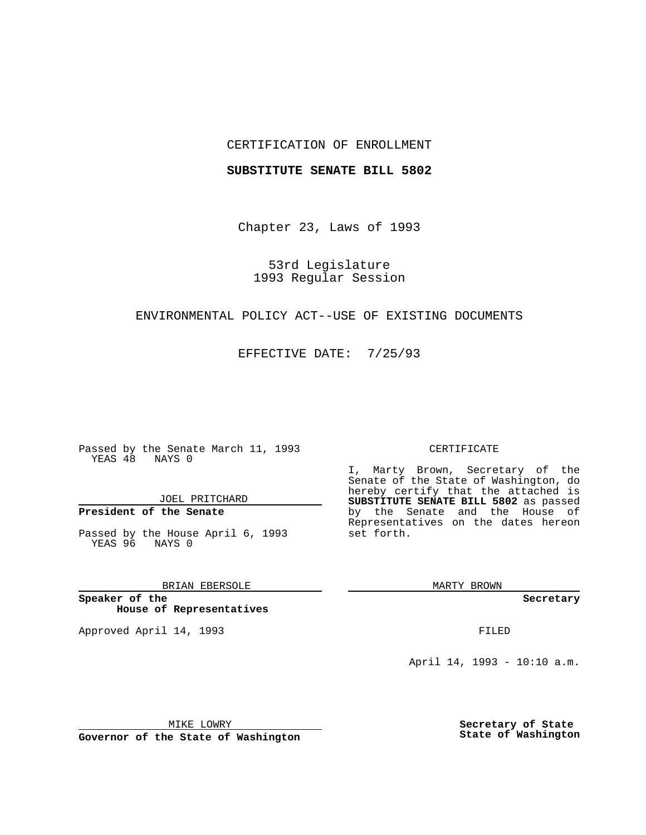#### CERTIFICATION OF ENROLLMENT

#### **SUBSTITUTE SENATE BILL 5802**

Chapter 23, Laws of 1993

53rd Legislature 1993 Regular Session

## ENVIRONMENTAL POLICY ACT--USE OF EXISTING DOCUMENTS

EFFECTIVE DATE: 7/25/93

Passed by the Senate March 11, 1993 YEAS 48 NAYS 0

JOEL PRITCHARD

# **President of the Senate**

Passed by the House April 6, 1993 YEAS 96 NAYS 0

BRIAN EBERSOLE

**Speaker of the House of Representatives**

Approved April 14, 1993 **FILED** 

#### CERTIFICATE

I, Marty Brown, Secretary of the Senate of the State of Washington, do hereby certify that the attached is **SUBSTITUTE SENATE BILL 5802** as passed by the Senate and the House of Representatives on the dates hereon set forth.

MARTY BROWN

**Secretary**

April 14, 1993 - 10:10 a.m.

MIKE LOWRY

**Governor of the State of Washington**

**Secretary of State State of Washington**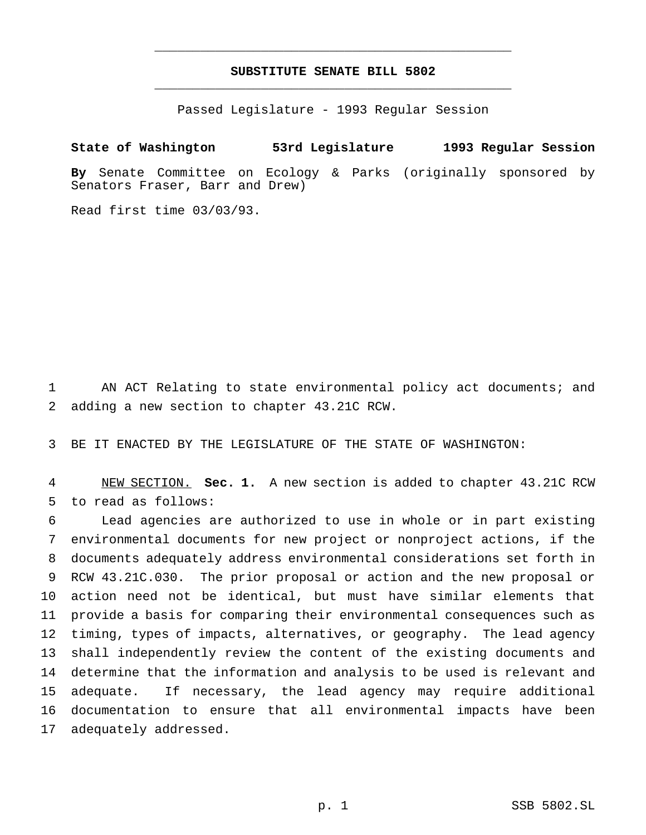### **SUBSTITUTE SENATE BILL 5802** \_\_\_\_\_\_\_\_\_\_\_\_\_\_\_\_\_\_\_\_\_\_\_\_\_\_\_\_\_\_\_\_\_\_\_\_\_\_\_\_\_\_\_\_\_\_\_

\_\_\_\_\_\_\_\_\_\_\_\_\_\_\_\_\_\_\_\_\_\_\_\_\_\_\_\_\_\_\_\_\_\_\_\_\_\_\_\_\_\_\_\_\_\_\_

Passed Legislature - 1993 Regular Session

**State of Washington 53rd Legislature 1993 Regular Session**

**By** Senate Committee on Ecology & Parks (originally sponsored by Senators Fraser, Barr and Drew)

Read first time 03/03/93.

 AN ACT Relating to state environmental policy act documents; and adding a new section to chapter 43.21C RCW.

BE IT ENACTED BY THE LEGISLATURE OF THE STATE OF WASHINGTON:

 NEW SECTION. **Sec. 1.** A new section is added to chapter 43.21C RCW to read as follows:

 Lead agencies are authorized to use in whole or in part existing environmental documents for new project or nonproject actions, if the documents adequately address environmental considerations set forth in RCW 43.21C.030. The prior proposal or action and the new proposal or action need not be identical, but must have similar elements that provide a basis for comparing their environmental consequences such as timing, types of impacts, alternatives, or geography. The lead agency shall independently review the content of the existing documents and determine that the information and analysis to be used is relevant and adequate. If necessary, the lead agency may require additional documentation to ensure that all environmental impacts have been adequately addressed.